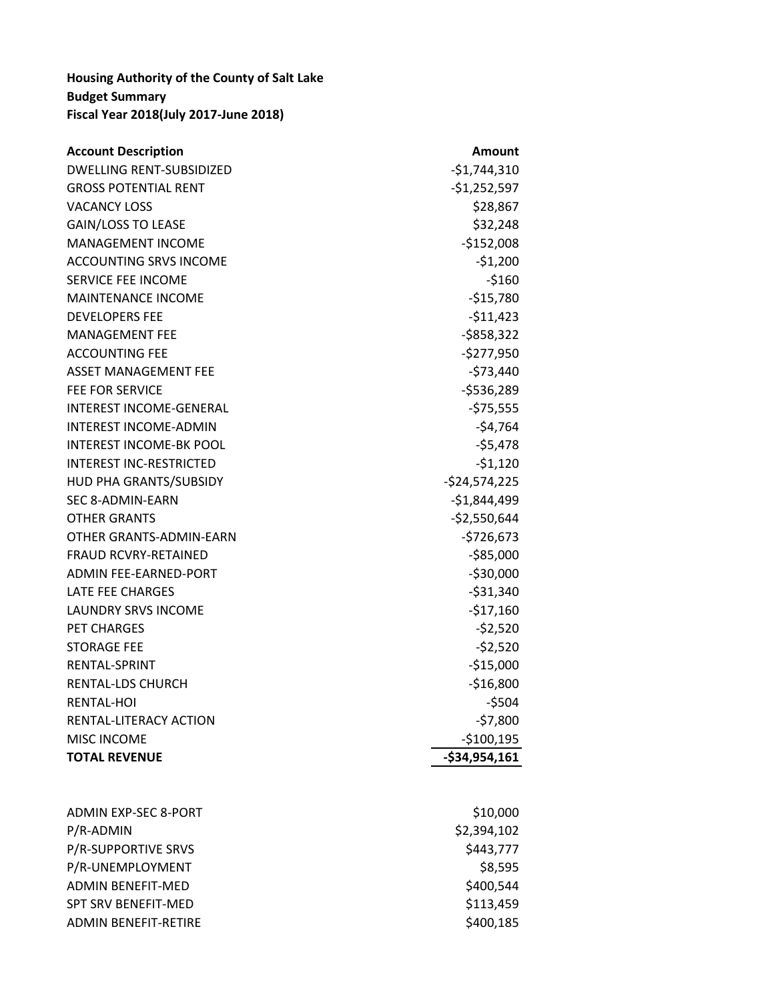## **Housing Authority of the County of Salt Lake Budget Summary Fiscal Year 2018(July 2017-June 2018)**

| Amount         |
|----------------|
| $-$1,744,310$  |
| $-$1,252,597$  |
| \$28,867       |
| \$32,248       |
| $-$152,008$    |
| $-51,200$      |
| $-5160$        |
| $-515,780$     |
| $-511,423$     |
| $-5858,322$    |
| $-$277,950$    |
| $-573,440$     |
| $-5536,289$    |
| $-575,555$     |
| $-54,764$      |
| $-55,478$      |
| $-51,120$      |
| $-524,574,225$ |
| $-$1,844,499$  |
| $-$2,550,644$  |
| $-5726,673$    |
| $-$85,000$     |
| $-530,000$     |
| $-531,340$     |
| $-517,160$     |
| $-52,520$      |
| $-52,520$      |
| $-$15,000$     |
| $-$16,800$     |
| $-5504$        |
| $-57,800$      |
| $-$100,195$    |
| $-$34,954,161$ |
|                |
|                |

| ADMIN EXP-SEC 8-PORT        | \$10,000    |
|-----------------------------|-------------|
| P/R-ADMIN                   | \$2,394,102 |
| <b>P/R-SUPPORTIVE SRVS</b>  | \$443,777   |
| P/R-UNEMPLOYMENT            | \$8,595     |
| ADMIN BENFFIT-MED           | \$400,544   |
| <b>SPT SRV BENEFIT-MED</b>  | \$113,459   |
| <b>ADMIN BENEFIT-RETIRE</b> | \$400,185   |
|                             |             |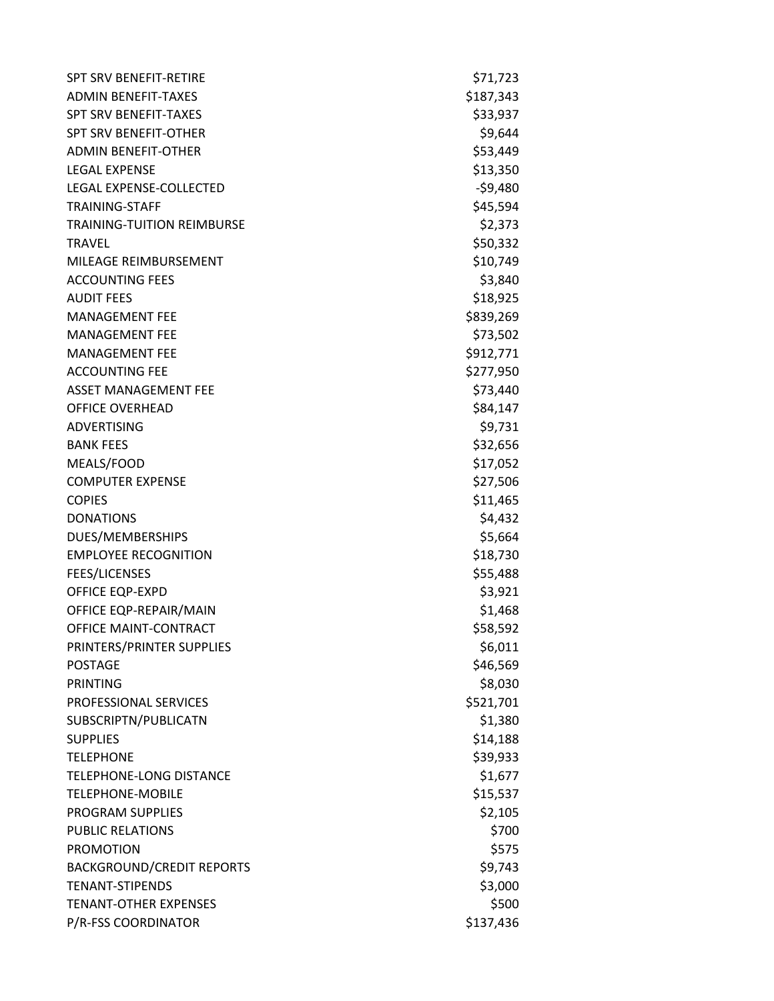| <b>SPT SRV BENEFIT-RETIRE</b>     | \$71,723  |
|-----------------------------------|-----------|
| <b>ADMIN BENEFIT-TAXES</b>        | \$187,343 |
| <b>SPT SRV BENEFIT-TAXES</b>      | \$33,937  |
| <b>SPT SRV BENEFIT-OTHER</b>      | \$9,644   |
| <b>ADMIN BENEFIT-OTHER</b>        | \$53,449  |
| <b>LEGAL EXPENSE</b>              | \$13,350  |
| LEGAL EXPENSE-COLLECTED           | $-59,480$ |
| <b>TRAINING-STAFF</b>             | \$45,594  |
| <b>TRAINING-TUITION REIMBURSE</b> | \$2,373   |
| <b>TRAVEL</b>                     | \$50,332  |
| MILEAGE REIMBURSEMENT             | \$10,749  |
| <b>ACCOUNTING FEES</b>            | \$3,840   |
| <b>AUDIT FEES</b>                 | \$18,925  |
| <b>MANAGEMENT FEE</b>             | \$839,269 |
| <b>MANAGEMENT FEE</b>             | \$73,502  |
| <b>MANAGEMENT FEE</b>             | \$912,771 |
| <b>ACCOUNTING FEE</b>             | \$277,950 |
| <b>ASSET MANAGEMENT FEE</b>       | \$73,440  |
| <b>OFFICE OVERHEAD</b>            | \$84,147  |
| <b>ADVERTISING</b>                | \$9,731   |
| <b>BANK FEES</b>                  | \$32,656  |
| MEALS/FOOD                        | \$17,052  |
| <b>COMPUTER EXPENSE</b>           | \$27,506  |
| <b>COPIES</b>                     | \$11,465  |
| <b>DONATIONS</b>                  | \$4,432   |
| DUES/MEMBERSHIPS                  | \$5,664   |
| <b>EMPLOYEE RECOGNITION</b>       | \$18,730  |
| <b>FEES/LICENSES</b>              | \$55,488  |
| <b>OFFICE EQP-EXPD</b>            | \$3,921   |
| OFFICE EQP-REPAIR/MAIN            | \$1,468   |
| OFFICE MAINT-CONTRACT             | \$58,592  |
| PRINTERS/PRINTER SUPPLIES         | \$6,011   |
| <b>POSTAGE</b>                    | \$46,569  |
| <b>PRINTING</b>                   | \$8,030   |
| PROFESSIONAL SERVICES             | \$521,701 |
| SUBSCRIPTN/PUBLICATN              | \$1,380   |
| <b>SUPPLIES</b>                   | \$14,188  |
| <b>TELEPHONE</b>                  | \$39,933  |
| <b>TELEPHONE-LONG DISTANCE</b>    | \$1,677   |
| <b>TELEPHONE-MOBILE</b>           | \$15,537  |
| PROGRAM SUPPLIES                  | \$2,105   |
| <b>PUBLIC RELATIONS</b>           | \$700     |
| <b>PROMOTION</b>                  | \$575     |
| <b>BACKGROUND/CREDIT REPORTS</b>  | \$9,743   |
| <b>TENANT-STIPENDS</b>            | \$3,000   |
| <b>TENANT-OTHER EXPENSES</b>      | \$500     |
| P/R-FSS COORDINATOR               | \$137,436 |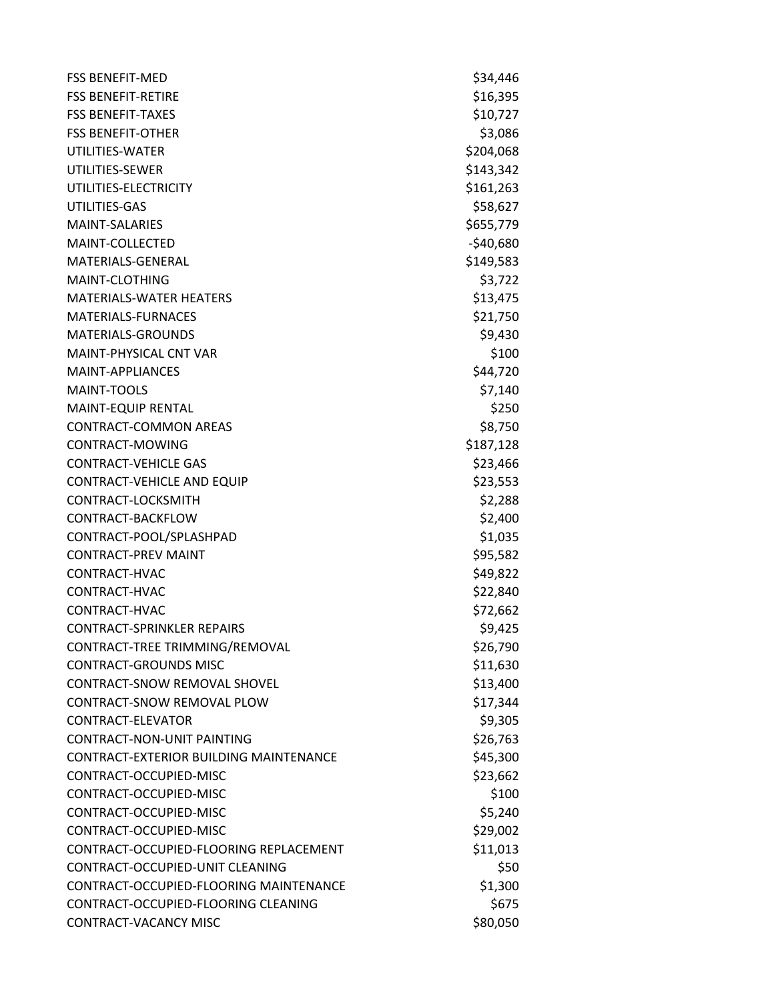| <b>FSS BENEFIT-MED</b>                        | \$34,446   |
|-----------------------------------------------|------------|
| <b>FSS BENEFIT-RETIRE</b>                     | \$16,395   |
| <b>FSS BENEFIT-TAXES</b>                      | \$10,727   |
| <b>FSS BENEFIT-OTHER</b>                      | \$3,086    |
| UTILITIES-WATER                               | \$204,068  |
| UTILITIES-SEWER                               | \$143,342  |
| UTILITIES-ELECTRICITY                         | \$161,263  |
| UTILITIES-GAS                                 | \$58,627   |
| <b>MAINT-SALARIES</b>                         | \$655,779  |
| MAINT-COLLECTED                               | $-540,680$ |
| MATERIALS-GENERAL                             | \$149,583  |
| MAINT-CLOTHING                                | \$3,722    |
| <b>MATERIALS-WATER HEATERS</b>                | \$13,475   |
| <b>MATERIALS-FURNACES</b>                     | \$21,750   |
| <b>MATERIALS-GROUNDS</b>                      | \$9,430    |
| <b>MAINT-PHYSICAL CNT VAR</b>                 | \$100      |
| MAINT-APPLIANCES                              | \$44,720   |
| <b>MAINT-TOOLS</b>                            | \$7,140    |
| <b>MAINT-EQUIP RENTAL</b>                     | \$250      |
| <b>CONTRACT-COMMON AREAS</b>                  | \$8,750    |
| CONTRACT-MOWING                               | \$187,128  |
| <b>CONTRACT-VEHICLE GAS</b>                   | \$23,466   |
| <b>CONTRACT-VEHICLE AND EQUIP</b>             | \$23,553   |
| CONTRACT-LOCKSMITH                            | \$2,288    |
| CONTRACT-BACKFLOW                             | \$2,400    |
| CONTRACT-POOL/SPLASHPAD                       | \$1,035    |
| <b>CONTRACT-PREV MAINT</b>                    | \$95,582   |
| CONTRACT-HVAC                                 | \$49,822   |
| CONTRACT-HVAC                                 | \$22,840   |
| CONTRACT-HVAC                                 | \$72,662   |
| <b>CONTRACT-SPRINKLER REPAIRS</b>             | \$9,425    |
| CONTRACT-TREE TRIMMING/REMOVAL                | \$26,790   |
| <b>CONTRACT-GROUNDS MISC</b>                  | \$11,630   |
| <b>CONTRACT-SNOW REMOVAL SHOVEL</b>           | \$13,400   |
| <b>CONTRACT-SNOW REMOVAL PLOW</b>             | \$17,344   |
| CONTRACT-FLFVATOR                             | \$9,305    |
| CONTRACT-NON-UNIT PAINTING                    | \$26,763   |
| <b>CONTRACT-EXTERIOR BUILDING MAINTENANCE</b> | \$45,300   |
| CONTRACT-OCCUPIED-MISC                        | \$23,662   |
| CONTRACT-OCCUPIED-MISC                        | \$100      |
| CONTRACT-OCCUPIED-MISC                        | \$5,240    |
| CONTRACT-OCCUPIED-MISC                        | \$29,002   |
| CONTRACT-OCCUPIED-FLOORING REPLACEMENT        | \$11,013   |
| CONTRACT-OCCUPIED-UNIT CLEANING               | \$50       |
| CONTRACT-OCCUPIED-FLOORING MAINTENANCE        | \$1,300    |
| CONTRACT-OCCUPIED-FLOORING CLEANING           | \$675      |
| <b>CONTRACT-VACANCY MISC</b>                  | \$80,050   |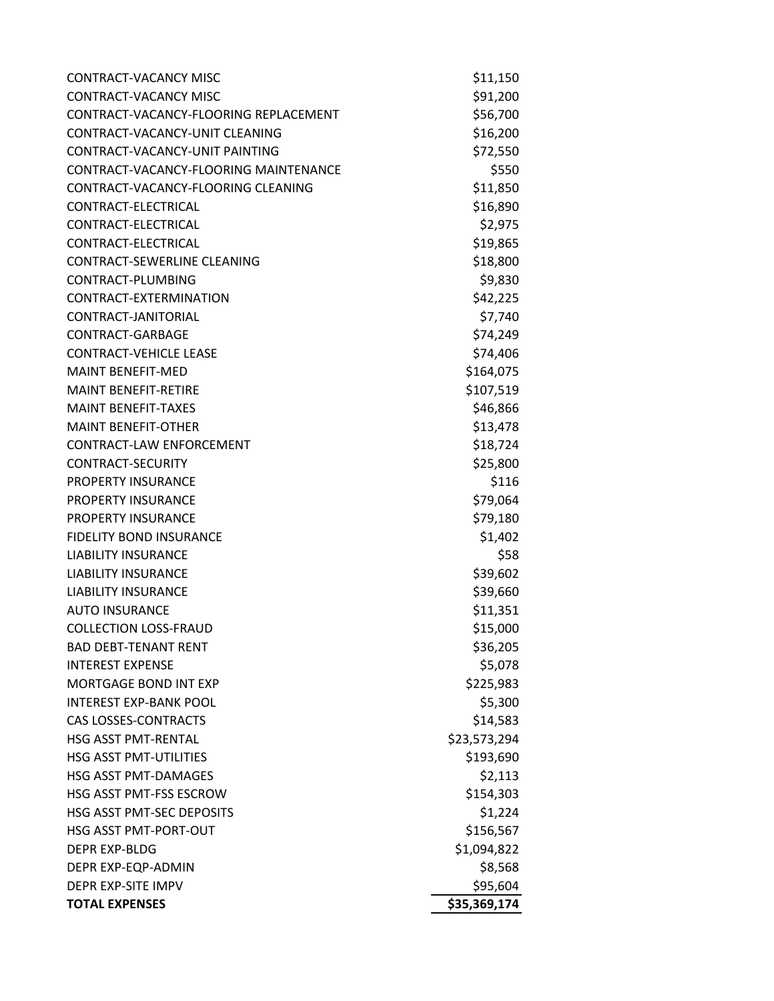| CONTRACT-VACANCY MISC                 | \$11,150     |
|---------------------------------------|--------------|
| <b>CONTRACT-VACANCY MISC</b>          | \$91,200     |
| CONTRACT-VACANCY-FLOORING REPLACEMENT | \$56,700     |
| CONTRACT-VACANCY-UNIT CLEANING        | \$16,200     |
| CONTRACT-VACANCY-UNIT PAINTING        | \$72,550     |
| CONTRACT-VACANCY-FLOORING MAINTENANCE | \$550        |
| CONTRACT-VACANCY-FLOORING CLEANING    | \$11,850     |
| CONTRACT-ELECTRICAL                   | \$16,890     |
| CONTRACT-ELECTRICAL                   | \$2,975      |
| CONTRACT-ELECTRICAL                   | \$19,865     |
| <b>CONTRACT-SEWERLINE CLEANING</b>    | \$18,800     |
| CONTRACT-PLUMBING                     | \$9,830      |
| CONTRACT-EXTERMINATION                | \$42,225     |
| CONTRACT-JANITORIAL                   | \$7,740      |
| CONTRACT-GARBAGE                      | \$74,249     |
| <b>CONTRACT-VEHICLE LEASE</b>         | \$74,406     |
| <b>MAINT BENEFIT-MED</b>              | \$164,075    |
| <b>MAINT BENEFIT-RETIRE</b>           | \$107,519    |
| <b>MAINT BENEFIT-TAXES</b>            | \$46,866     |
| <b>MAINT BENEFIT-OTHER</b>            | \$13,478     |
| CONTRACT-LAW ENFORCEMENT              | \$18,724     |
| <b>CONTRACT-SECURITY</b>              | \$25,800     |
| PROPERTY INSURANCE                    | \$116        |
| <b>PROPERTY INSURANCE</b>             | \$79,064     |
| PROPERTY INSURANCE                    | \$79,180     |
| <b>FIDELITY BOND INSURANCE</b>        | \$1,402      |
| <b>LIABILITY INSURANCE</b>            | \$58         |
| <b>LIABILITY INSURANCE</b>            | \$39,602     |
| <b>LIABILITY INSURANCE</b>            | \$39,660     |
| <b>AUTO INSURANCE</b>                 | \$11,351     |
| <b>COLLECTION LOSS-FRAUD</b>          | \$15,000     |
| <b>BAD DEBT-TENANT RENT</b>           | \$36,205     |
| <b>INTEREST EXPENSE</b>               | \$5,078      |
| <b>MORTGAGE BOND INT EXP</b>          | \$225,983    |
| <b>INTEREST EXP-BANK POOL</b>         | \$5,300      |
| <b>CAS LOSSES-CONTRACTS</b>           | \$14,583     |
| HSG ASST PMT-RENTAL                   | \$23,573,294 |
| <b>HSG ASST PMT-UTILITIES</b>         | \$193,690    |
| <b>HSG ASST PMT-DAMAGES</b>           | \$2,113      |
| HSG ASST PMT-FSS ESCROW               | \$154,303    |
| HSG ASST PMT-SEC DEPOSITS             | \$1,224      |
| <b>HSG ASST PMT-PORT-OUT</b>          | \$156,567    |
| <b>DEPR EXP-BLDG</b>                  | \$1,094,822  |
| DEPR EXP-EQP-ADMIN                    | \$8,568      |
| DEPR EXP-SITE IMPV                    | \$95,604     |
| <b>TOTAL EXPENSES</b>                 | \$35,369,174 |